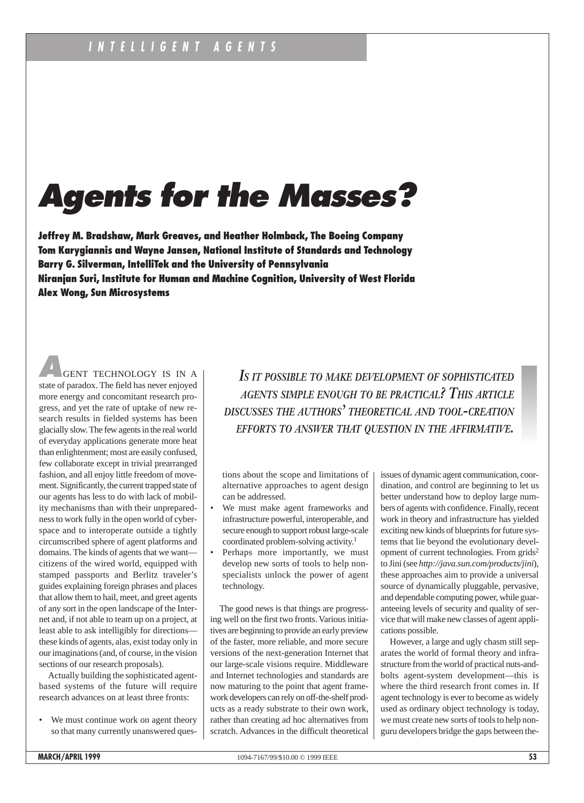# **Agents for the Masses?**

**Jeffrey M. Bradshaw, Mark Greaves, and Heather Holmback, The Boeing Company Tom Karygiannis and Wayne Jansen, National Institute of Standards and Technology Barry G. Silverman, IntelliTek and the University of Pennsylvania Niranjan Suri, Institute for Human and Machine Cognition, University of West Florida Alex Wong, Sun Microsystems**

**A**GENT TECHNOLOGY IS IN A state of paradox. The field has never enjoyed more energy and concomitant research progress, and yet the rate of uptake of new research results in fielded systems has been glacially slow. The few agents in the real world of everyday applications generate more heat than enlightenment; most are easily confused, few collaborate except in trivial prearranged fashion, and all enjoy little freedom of movement. Significantly, the current trapped state of our agents has less to do with lack of mobility mechanisms than with their unpreparedness to work fully in the open world of cyberspace and to interoperate outside a tightly circumscribed sphere of agent platforms and domains. The kinds of agents that we want citizens of the wired world, equipped with stamped passports and Berlitz traveler's guides explaining foreign phrases and places that allow them to hail, meet, and greet agents of any sort in the open landscape of the Internet and, if not able to team up on a project, at least able to ask intelligibly for directions these kinds of agents, alas, exist today only in our imaginations (and, of course, in the vision sections of our research proposals).

Actually building the sophisticated agentbased systems of the future will require research advances on at least three fronts:

We must continue work on agent theory so that many currently unanswered ques-

*IS IT POSSIBLE TO MAKE DEVELOPMENT OF SOPHISTICATED AGENTS SIMPLE ENOUGH TO BE PRACTICAL? THIS ARTICLE DISCUSSES THE AUTHORS' THEORETICAL AND TOOL-CREATION EFFORTS TO ANSWER THAT QUESTION IN THE AFFIRMATIVE.*

tions about the scope and limitations of alternative approaches to agent design can be addressed.

- We must make agent frameworks and infrastructure powerful, interoperable, and secure enough to support robust large-scale coordinated problem-solving activity.1
- Perhaps more importantly, we must develop new sorts of tools to help nonspecialists unlock the power of agent technology.

The good news is that things are progressing well on the first two fronts. Various initiatives are beginning to provide an early preview of the faster, more reliable, and more secure versions of the next-generation Internet that our large-scale visions require. Middleware and Internet technologies and standards are now maturing to the point that agent framework developers can rely on off-the-shelf products as a ready substrate to their own work, rather than creating ad hoc alternatives from scratch. Advances in the difficult theoretical issues of dynamic agent communication, coordination, and control are beginning to let us better understand how to deploy large numbers of agents with confidence. Finally, recent work in theory and infrastructure has yielded exciting new kinds of blueprints for future systems that lie beyond the evolutionary development of current technologies. From grids<sup>2</sup> to Jini (see *http://java.sun.com/products/jini*), these approaches aim to provide a universal source of dynamically pluggable, pervasive, and dependable computing power, while guaranteeing levels of security and quality of service that will make new classes of agent applications possible.

However, a large and ugly chasm still separates the world of formal theory and infrastructure from the world of practical nuts-andbolts agent-system development—this is where the third research front comes in. If agent technology is ever to become as widely used as ordinary object technology is today, we must create new sorts of tools to help nonguru developers bridge the gaps between the-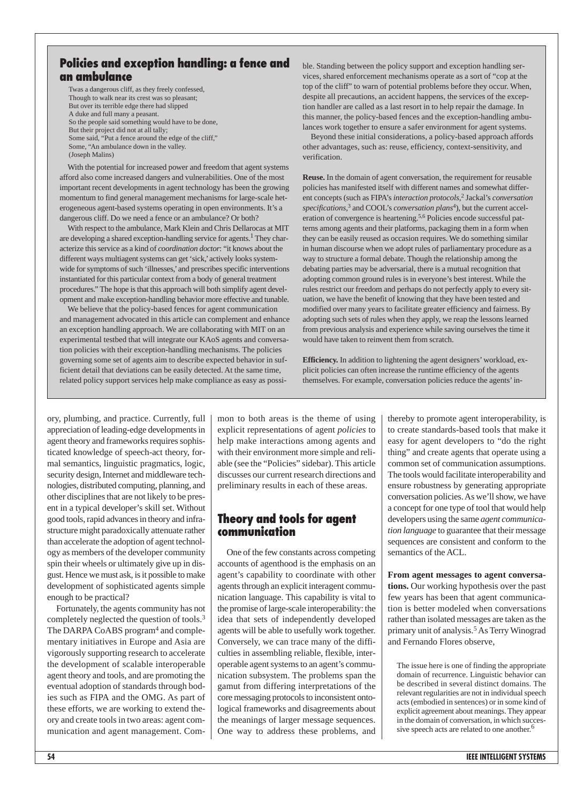#### **Policies and exception handling: a fence and an ambulance**

Twas a dangerous cliff, as they freely confessed, Though to walk near its crest was so pleasant; But over its terrible edge there had slipped A duke and full many a peasant. So the people said something would have to be done, But their project did not at all tally; Some said, "Put a fence around the edge of the cliff," Some, "An ambulance down in the valley. (Joseph Malins)

With the potential for increased power and freedom that agent systems afford also come increased dangers and vulnerabilities. One of the most important recent developments in agent technology has been the growing momentum to find general management mechanisms for large-scale heterogeneous agent-based systems operating in open environments. It's a dangerous cliff. Do we need a fence or an ambulance? Or both?

With respect to the ambulance, Mark Klein and Chris Dellarocas at MIT are developing a shared exception-handling service for agents.<sup>1</sup> They characterize this service as a kind of *coordination doctor*: "it knows about the different ways multiagent systems can get 'sick,'actively looks systemwide for symptoms of such 'illnesses,'and prescribes specific interventions instantiated for this particular context from a body of general treatment procedures." The hope is that this approach will both simplify agent development and make exception-handling behavior more effective and tunable.

We believe that the policy-based fences for agent communication and management advocated in this article can complement and enhance an exception handling approach. We are collaborating with MIT on an experimental testbed that will integrate our KAoS agents and conversation policies with their exception-handling mechanisms. The policies governing some set of agents aim to describe expected behavior in sufficient detail that deviations can be easily detected. At the same time, related policy support services help make compliance as easy as possible. Standing between the policy support and exception handling services, shared enforcement mechanisms operate as a sort of "cop at the top of the cliff" to warn of potential problems before they occur. When, despite all precautions, an accident happens, the services of the exception handler are called as a last resort in to help repair the damage. In this manner, the policy-based fences and the exception-handling ambulances work together to ensure a safer environment for agent systems.

Beyond these initial considerations, a policy-based approach affords other advantages, such as: reuse, efficiency, context-sensitivity, and verification.

**Reuse.** In the domain of agent conversation, the requirement for reusable policies has manifested itself with different names and somewhat different concepts (such as FIPA's *interaction protocols,*<sup>2</sup> Jackal's *conversation specifications,*<sup>3</sup> and COOL's *conversation plans*4), but the current acceleration of convergence is heartening.5,6 Policies encode successful patterns among agents and their platforms, packaging them in a form when they can be easily reused as occasion requires. We do something similar in human discourse when we adopt rules of parliamentary procedure as a way to structure a formal debate. Though the relationship among the debating parties may be adversarial, there is a mutual recognition that adopting common ground rules is in everyone's best interest. While the rules restrict our freedom and perhaps do not perfectly apply to every situation, we have the benefit of knowing that they have been tested and modified over many years to facilitate greater efficiency and fairness. By adopting such sets of rules when they apply, we reap the lessons learned from previous analysis and experience while saving ourselves the time it would have taken to reinvent them from scratch.

**Efficiency.** In addition to lightening the agent designers' workload, explicit policies can often increase the runtime efficiency of the agents themselves. For example, conversation policies reduce the agents' in-

ory, plumbing, and practice. Currently, full appreciation of leading-edge developments in agent theory and frameworks requires sophisticated knowledge of speech-act theory, formal semantics, linguistic pragmatics, logic, security design, Internet and middleware technologies, distributed computing, planning, and other disciplines that are not likely to be present in a typical developer's skill set. Without good tools, rapid advances in theory and infrastructure might paradoxically attenuate rather than accelerate the adoption of agent technology as members of the developer community spin their wheels or ultimately give up in disgust. Hence we must ask, is it possible to make development of sophisticated agents simple enough to be practical?

Fortunately, the agents community has not completely neglected the question of tools.<sup>3</sup> The DARPA CoABS program<sup>4</sup> and complementary initiatives in Europe and Asia are vigorously supporting research to accelerate the development of scalable interoperable agent theory and tools, and are promoting the eventual adoption of standards through bodies such as FIPA and the OMG. As part of these efforts, we are working to extend theory and create tools in two areas: agent communication and agent management. Common to both areas is the theme of using explicit representations of agent *policies* to help make interactions among agents and with their environment more simple and reliable (see the "Policies" sidebar). This article discusses our current research directions and preliminary results in each of these areas.

#### **Theory and tools for agent communication**

One of the few constants across competing accounts of agenthood is the emphasis on an agent's capability to coordinate with other agents through an explicit interagent communication language. This capability is vital to the promise of large-scale interoperability: the idea that sets of independently developed agents will be able to usefully work together. Conversely, we can trace many of the difficulties in assembling reliable, flexible, interoperable agent systems to an agent's communication subsystem. The problems span the gamut from differing interpretations of the core messaging protocols to inconsistent ontological frameworks and disagreements about the meanings of larger message sequences. One way to address these problems, and thereby to promote agent interoperability, is to create standards-based tools that make it easy for agent developers to "do the right thing" and create agents that operate using a common set of communication assumptions. The tools would facilitate interoperability and ensure robustness by generating appropriate conversation policies. As we'll show, we have a concept for one type of tool that would help developers using the same *agent communication language* to guarantee that their message sequences are consistent and conform to the semantics of the ACL.

**From agent messages to agent conversations.** Our working hypothesis over the past few years has been that agent communication is better modeled when conversations rather than isolated messages are taken as the primary unit of analysis.<sup>5</sup> As Terry Winograd and Fernando Flores observe,

The issue here is one of finding the appropriate domain of recurrence. Linguistic behavior can be described in several distinct domains. The relevant regularities are not in individual speech acts (embodied in sentences) or in some kind of explicit agreement about meanings. They appear in the domain of conversation, in which successive speech acts are related to one another.<sup>6</sup>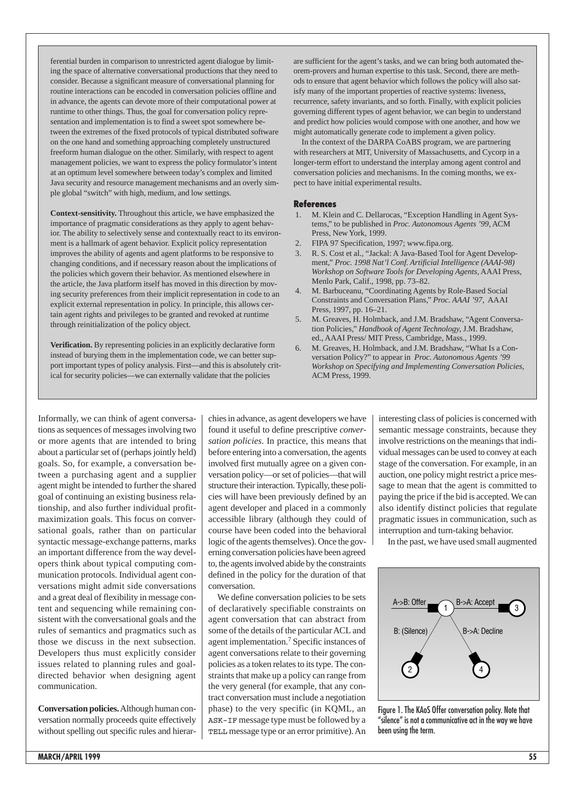ferential burden in comparison to unrestricted agent dialogue by limiting the space of alternative conversational productions that they need to consider. Because a significant measure of conversational planning for routine interactions can be encoded in conversation policies offline and in advance, the agents can devote more of their computational power at runtime to other things. Thus, the goal for conversation policy representation and implementation is to find a sweet spot somewhere between the extremes of the fixed protocols of typical distributed software on the one hand and something approaching completely unstructured freeform human dialogue on the other. Similarly, with respect to agent management policies, we want to express the policy formulator's intent at an optimum level somewhere between today's complex and limited Java security and resource management mechanisms and an overly simple global "switch" with high, medium, and low settings.

**Context-sensitivity.** Throughout this article, we have emphasized the importance of pragmatic considerations as they apply to agent behavior. The ability to selectively sense and contextually react to its environment is a hallmark of agent behavior. Explicit policy representation improves the ability of agents and agent platforms to be responsive to changing conditions, and if necessary reason about the implications of the policies which govern their behavior. As mentioned elsewhere in the article, the Java platform itself has moved in this direction by moving security preferences from their implicit representation in code to an explicit external representation in policy. In principle, this allows certain agent rights and privileges to be granted and revoked at runtime through reinitialization of the policy object.

**Verification.** By representing policies in an explicitly declarative form instead of burying them in the implementation code, we can better support important types of policy analysis. First—and this is absolutely critical for security policies—we can externally validate that the policies

are sufficient for the agent's tasks, and we can bring both automated theorem-provers and human expertise to this task. Second, there are methods to ensure that agent behavior which follows the policy will also satisfy many of the important properties of reactive systems: liveness, recurrence, safety invariants, and so forth. Finally, with explicit policies governing different types of agent behavior, we can begin to understand and predict how policies would compose with one another, and how we might automatically generate code to implement a given policy.

In the context of the DARPA CoABS program, we are partnering with researchers at MIT, University of Massachusetts, and Cycorp in a longer-term effort to understand the interplay among agent control and conversation policies and mechanisms. In the coming months, we expect to have initial experimental results.

#### **References**

- 1. M. Klein and C. Dellarocas, "Exception Handling in Agent Systems," to be published in *Proc. Autonomous Agents '99,* ACM Press, New York, 1999.
- 2. FIPA 97 Specification, 1997; www.fipa.org.
- 3. R. S. Cost et al., "Jackal: A Java-Based Tool for Agent Development," *Proc. 1998 Nat'l Conf. Artificial Intelligence (AAAI-98) Workshop on Software Tools for Developing Agents,* AAAI Press, Menlo Park, Calif., 1998, pp. 73–82.
- 4. M. Barbuceanu, "Coordinating Agents by Role-Based Social Constraints and Conversation Plans," *Proc. AAAI '97,* AAAI Press, 1997, pp. 16–21.
- 5. M. Greaves, H. Holmback, and J.M. Bradshaw, "Agent Conversation Policies," *Handbook of Agent Technology,* J.M. Bradshaw, ed., AAAI Press/ MIT Press, Cambridge, Mass., 1999.
- 6. M. Greaves, H. Holmback, and J.M. Bradshaw, "What Is a Conversation Policy?" to appear in *Proc. Autonomous Agents '99 Workshop on Specifying and Implementing Conversation Policies,* ACM Press, 1999.

Informally, we can think of agent conversations as sequences of messages involving two or more agents that are intended to bring about a particular set of (perhaps jointly held) goals. So, for example, a conversation between a purchasing agent and a supplier agent might be intended to further the shared goal of continuing an existing business relationship, and also further individual profitmaximization goals. This focus on conversational goals, rather than on particular syntactic message-exchange patterns, marks an important difference from the way developers think about typical computing communication protocols. Individual agent conversations might admit side conversations and a great deal of flexibility in message content and sequencing while remaining consistent with the conversational goals and the rules of semantics and pragmatics such as those we discuss in the next subsection. Developers thus must explicitly consider issues related to planning rules and goaldirected behavior when designing agent communication.

**Conversation policies.**Although human conversation normally proceeds quite effectively without spelling out specific rules and hierarchies in advance, as agent developers we have found it useful to define prescriptive *conversation policies*. In practice, this means that before entering into a conversation, the agents involved first mutually agree on a given conversation policy—or set of policies—that will structure their interaction. Typically, these policies will have been previously defined by an agent developer and placed in a commonly accessible library (although they could of course have been coded into the behavioral logic of the agents themselves). Once the governing conversation policies have been agreed to, the agents involved abide by the constraints defined in the policy for the duration of that conversation.

We define conversation policies to be sets of declaratively specifiable constraints on agent conversation that can abstract from some of the details of the particular ACL and agent implementation.7 Specific instances of agent conversations relate to their governing policies as a token relates to its type. The constraints that make up a policy can range from the very general (for example*,* that any contract conversation must include a negotiation phase) to the very specific (in KQML, an ASK-IF message type must be followed by a TELL message type or an error primitive). An

interesting class of policies is concerned with semantic message constraints, because they involve restrictions on the meanings that individual messages can be used to convey at each stage of the conversation. For example, in an auction, one policy might restrict a price message to mean that the agent is committed to paying the price if the bid is accepted. We can also identify distinct policies that regulate pragmatic issues in communication, such as interruption and turn-taking behavior.

In the past, we have used small augmented



Figure 1. The KAoS Offer conversation policy. Note that "silence" is not a communicative act in the way we have been using the term.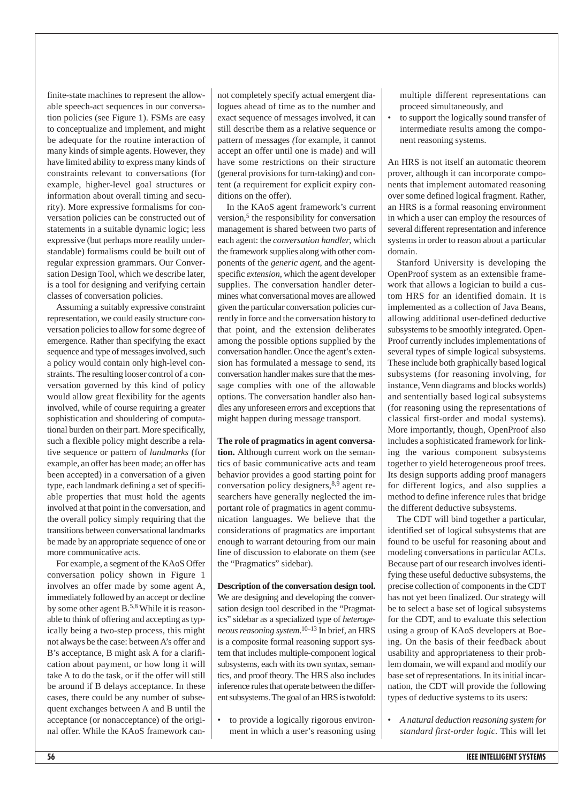finite-state machines to represent the allowable speech-act sequences in our conversation policies (see Figure 1). FSMs are easy to conceptualize and implement, and might be adequate for the routine interaction of many kinds of simple agents. However, they have limited ability to express many kinds of constraints relevant to conversations (for example, higher-level goal structures or information about overall timing and security). More expressive formalisms for conversation policies can be constructed out of statements in a suitable dynamic logic; less expressive (but perhaps more readily understandable) formalisms could be built out of regular expression grammars. Our Conversation Design Tool, which we describe later, is a tool for designing and verifying certain classes of conversation policies.

Assuming a suitably expressive constraint representation, we could easily structure conversation policies to allow for some degree of emergence. Rather than specifying the exact sequence and type of messages involved, such a policy would contain only high-level constraints. The resulting looser control of a conversation governed by this kind of policy would allow great flexibility for the agents involved, while of course requiring a greater sophistication and shouldering of computational burden on their part. More specifically, such a flexible policy might describe a relative sequence or pattern of *landmarks* (for example, an offer has been made; an offer has been accepted) in a conversation of a given type, each landmark defining a set of specifiable properties that must hold the agents involved at that point in the conversation, and the overall policy simply requiring that the transitions between conversational landmarks be made by an appropriate sequence of one or more communicative acts.

For example, a segment of the KAoS Offer conversation policy shown in Figure 1 involves an offer made by some agent A, immediately followed by an accept or decline by some other agent B.<sup>5,8</sup> While it is reasonable to think of offering and accepting as typically being a two-step process, this might not always be the case: between A's offer and B's acceptance, B might ask A for a clarification about payment, or how long it will take A to do the task, or if the offer will still be around if B delays acceptance. In these cases, there could be any number of subsequent exchanges between A and B until the acceptance (or nonacceptance) of the original offer. While the KAoS framework can-

not completely specify actual emergent dialogues ahead of time as to the number and exact sequence of messages involved, it can still describe them as a relative sequence or pattern of messages *(*for example, it cannot accept an offer until one is made) and will have some restrictions on their structure (general provisions for turn-taking) and content (a requirement for explicit expiry conditions on the offer).

In the KAoS agent framework's current version,<sup>5</sup> the responsibility for conversation management is shared between two parts of each agent: the *conversation handler*, which the framework supplies along with other components of the *generic agent*, and the agentspecific *extension,* which the agent developer supplies. The conversation handler determines what conversational moves are allowed given the particular conversation policies currently in force and the conversation history to that point, and the extension deliberates among the possible options supplied by the conversation handler. Once the agent's extension has formulated a message to send, its conversation handler makes sure that the message complies with one of the allowable options. The conversation handler also handles any unforeseen errors and exceptions that might happen during message transport.

#### **The role of pragmatics in agent conversation.** Although current work on the semantics of basic communicative acts and team

behavior provides a good starting point for conversation policy designers,<sup>8,9</sup> agent researchers have generally neglected the important role of pragmatics in agent communication languages. We believe that the considerations of pragmatics are important enough to warrant detouring from our main line of discussion to elaborate on them (see the "Pragmatics" sidebar).

**Description of the conversation design tool.** We are designing and developing the conversation design tool described in the "Pragmatics" sidebar as a specialized type of *heterogeneous reasoning system*. 10–13 In brief, an HRS is a composite formal reasoning support system that includes multiple-component logical subsystems, each with its own syntax, semantics, and proof theory. The HRS also includes inference rules that operate between the different subsystems. The goal of an HRS is twofold:

to provide a logically rigorous environment in which a user's reasoning using multiple different representations can proceed simultaneously, and

to support the logically sound transfer of intermediate results among the component reasoning systems.

An HRS is not itself an automatic theorem prover, although it can incorporate components that implement automated reasoning over some defined logical fragment. Rather, an HRS is a formal reasoning environment in which a user can employ the resources of several different representation and inference systems in order to reason about a particular domain.

Stanford University is developing the OpenProof system as an extensible framework that allows a logician to build a custom HRS for an identified domain. It is implemented as a collection of Java Beans, allowing additional user-defined deductive subsystems to be smoothly integrated. Open-Proof currently includes implementations of several types of simple logical subsystems. These include both graphically based logical subsystems (for reasoning involving, for instance, Venn diagrams and blocks worlds) and sententially based logical subsystems (for reasoning using the representations of classical first-order and modal systems). More importantly, though, OpenProof also includes a sophisticated framework for linking the various component subsystems together to yield heterogeneous proof trees. Its design supports adding proof managers for different logics, and also supplies a method to define inference rules that bridge the different deductive subsystems.

The CDT will bind together a particular, identified set of logical subsystems that are found to be useful for reasoning about and modeling conversations in particular ACLs. Because part of our research involves identifying these useful deductive subsystems, the precise collection of components in the CDT has not yet been finalized. Our strategy will be to select a base set of logical subsystems for the CDT, and to evaluate this selection using a group of KAoS developers at Boeing. On the basis of their feedback about usability and appropriateness to their problem domain, we will expand and modify our base set of representations. In its initial incarnation, the CDT will provide the following types of deductive systems to its users:

• *A natural deduction reasoning system for standard first-order logic.* This will let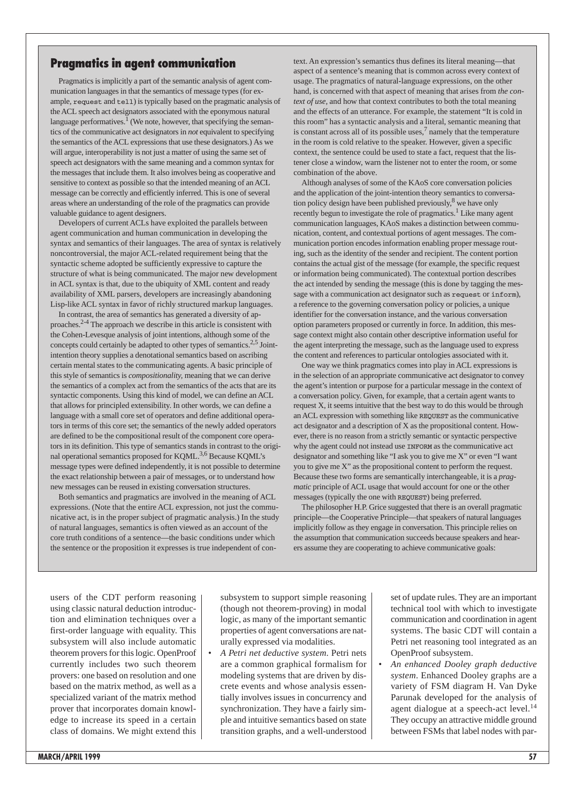### **Pragmatics in agent communication**

Pragmatics is implicitly a part of the semantic analysis of agent communication languages in that the semantics of message types (for example, request and tell) is typically based on the pragmatic analysis of the ACL speech act designators associated with the eponymous natural language performatives. $<sup>1</sup>$  (We note, however, that specifying the seman-</sup> tics of the communicative act designators in *not* equivalent to specifying the semantics of the ACL expressions that use these designators.) As we will argue, interoperability is not just a matter of using the same set of speech act designators with the same meaning and a common syntax for the messages that include them. It also involves being as cooperative and sensitive to context as possible so that the intended meaning of an ACL message can be correctly and efficiently inferred. This is one of several areas where an understanding of the role of the pragmatics can provide valuable guidance to agent designers.

Developers of current ACLs have exploited the parallels between agent communication and human communication in developing the syntax and semantics of their languages. The area of syntax is relatively noncontroversial, the major ACL-related requirement being that the syntactic scheme adopted be sufficiently expressive to capture the structure of what is being communicated. The major new development in ACL syntax is that, due to the ubiquity of XML content and ready availability of XML parsers, developers are increasingly abandoning Lisp-like ACL syntax in favor of richly structured markup languages.

In contrast, the area of semantics has generated a diversity of approaches.2-4 The approach we describe in this article is consistent with the Cohen-Levesque analysis of joint intentions, although some of the concepts could certainly be adapted to other types of semantics.<sup>2,5</sup> Jointintention theory supplies a denotational semantics based on ascribing certain mental states to the communicating agents. A basic principle of this style of semantics is *compositionality,* meaning that we can derive the semantics of a complex act from the semantics of the acts that are its syntactic components. Using this kind of model, we can define an ACL that allows for principled extensibility. In other words, we can define a language with a small core set of operators and define additional operators in terms of this core set; the semantics of the newly added operators are defined to be the compositional result of the component core operators in its definition. This type of semantics stands in contrast to the original operational semantics proposed for KQML.3,6 Because KQML's message types were defined independently, it is not possible to determine the exact relationship between a pair of messages, or to understand how new messages can be reused in existing conversation structures.

Both semantics and pragmatics are involved in the meaning of ACL expressions. (Note that the entire ACL expression, not just the communicative act, is in the proper subject of pragmatic analysis.) In the study of natural languages, semantics is often viewed as an account of the core truth conditions of a sentence—the basic conditions under which the sentence or the proposition it expresses is true independent of con-

text. An expression's semantics thus defines its literal meaning—that aspect of a sentence's meaning that is common across every context of usage. The pragmatics of natural-language expressions, on the other hand, is concerned with that aspect of meaning that arises from *the context of use,* and how that context contributes to both the total meaning and the effects of an utterance. For example, the statement "It is cold in this room" has a syntactic analysis and a literal, semantic meaning that is constant across all of its possible uses, $<sup>7</sup>$  namely that the temperature</sup> in the room is cold relative to the speaker. However, given a specific context, the sentence could be used to state a fact, request that the listener close a window, warn the listener not to enter the room, or some combination of the above.

Although analyses of some of the KAoS core conversation policies and the application of the joint-intention theory semantics to conversation policy design have been published previously, $8$  we have only recently begun to investigate the role of pragmatics.<sup>1</sup> Like many agent communication languages, KAoS makes a distinction between communication, content, and contextual portions of agent messages. The communication portion encodes information enabling proper message routing, such as the identity of the sender and recipient. The content portion contains the actual gist of the message (for example, the specific request or information being communicated). The contextual portion describes the act intended by sending the message (this is done by tagging the message with a communication act designator such as request or inform), a reference to the governing conversation policy or policies, a unique identifier for the conversation instance, and the various conversation option parameters proposed or currently in force. In addition, this message context might also contain other descriptive information useful for the agent interpreting the message, such as the language used to express the content and references to particular ontologies associated with it.

One way we think pragmatics comes into play in ACL expressions is in the selection of an appropriate communicative act designator to convey the agent's intention or purpose for a particular message in the context of a conversation policy. Given, for example, that a certain agent wants to request X, it seems intuitive that the best way to do this would be through an ACL expression with something like REQUEST as the communicative act designator and a description of X as the propositional content. However, there is no reason from a strictly semantic or syntactic perspective why the agent could not instead use INFORM as the communicative act designator and something like "I ask you to give me X" or even "I want you to give me X" as the propositional content to perform the request. Because these two forms are semantically interchangeable, it is a *pragmatic* principle of ACL usage that would account for one or the other messages (typically the one with REQUEST) being preferred.

The philosopher H.P. Grice suggested that there is an overall pragmatic principle—the Cooperative Principle—that speakers of natural languages implicitly follow as they engage in conversation. This principle relies on the assumption that communication succeeds because speakers and hearers assume they are cooperating to achieve communicative goals:

users of the CDT perform reasoning using classic natural deduction introduction and elimination techniques over a first-order language with equality. This subsystem will also include automatic theorem provers for this logic. OpenProof currently includes two such theorem provers: one based on resolution and one based on the matrix method, as well as a specialized variant of the matrix method prover that incorporates domain knowledge to increase its speed in a certain class of domains. We might extend this subsystem to support simple reasoning (though not theorem-proving) in modal logic, as many of the important semantic properties of agent conversations are naturally expressed via modalities.

• *A Petri net deductive system*. Petri nets are a common graphical formalism for modeling systems that are driven by discrete events and whose analysis essentially involves issues in concurrency and synchronization. They have a fairly simple and intuitive semantics based on state transition graphs, and a well-understood

set of update rules. They are an important technical tool with which to investigate communication and coordination in agent systems. The basic CDT will contain a Petri net reasoning tool integrated as an OpenProof subsystem.

• *An enhanced Dooley graph deductive system*. Enhanced Dooley graphs are a variety of FSM diagram H. Van Dyke Parunak developed for the analysis of agent dialogue at a speech-act level.<sup>14</sup> They occupy an attractive middle ground between FSMs that label nodes with par-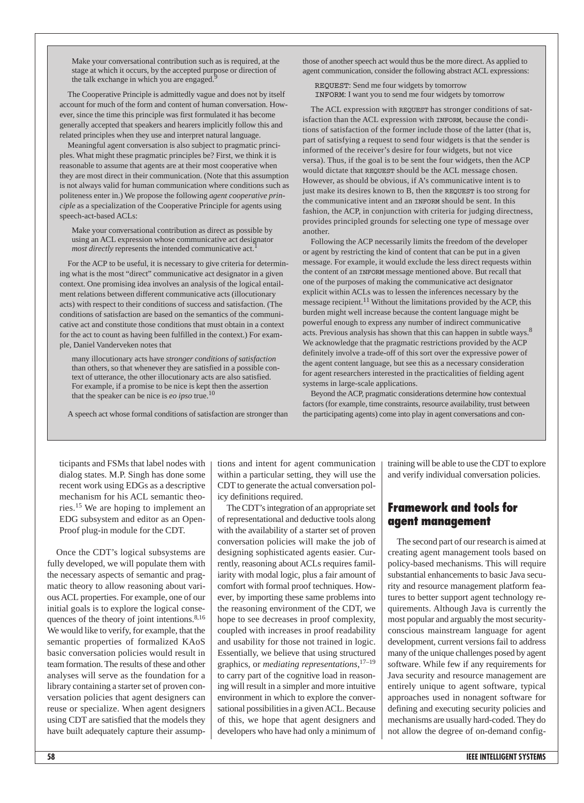Make your conversational contribution such as is required, at the stage at which it occurs, by the accepted purpose or direction of the talk exchange in which you are engaged.

The Cooperative Principle is admittedly vague and does not by itself account for much of the form and content of human conversation. However, since the time this principle was first formulated it has become generally accepted that speakers and hearers implicitly follow this and related principles when they use and interpret natural language.

Meaningful agent conversation is also subject to pragmatic principles. What might these pragmatic principles be? First, we think it is reasonable to assume that agents are at their most cooperative when they are most direct in their communication. (Note that this assumption is not always valid for human communication where conditions such as politeness enter in.) We propose the following *agent cooperative principle* as a specialization of the Cooperative Principle for agents using speech-act-based ACLs:

Make your conversational contribution as direct as possible by using an ACL expression whose communicative act designator *most directly* represents the intended communicative act.

For the ACP to be useful, it is necessary to give criteria for determining what is the most "direct" communicative act designator in a given context. One promising idea involves an analysis of the logical entailment relations between different communicative acts (illocutionary acts) with respect to their conditions of success and satisfaction. (The conditions of satisfaction are based on the semantics of the communicative act and constitute those conditions that must obtain in a context for the act to count as having been fulfilled in the context.) For example, Daniel Vanderveken notes that

many illocutionary acts have *stronger conditions of satisfaction* than others, so that whenever they are satisfied in a possible context of utterance, the other illocutionary acts are also satisfied. For example, if a promise to be nice is kept then the assertion that the speaker can be nice is *eo ipso* true.10

A speech act whose formal conditions of satisfaction are stronger than

those of another speech act would thus be the more direct. As applied to agent communication, consider the following abstract ACL expressions:

REQUEST: Send me four widgets by tomorrow INFORM: I want you to send me four widgets by tomorrow

The ACL expression with REQUEST has stronger conditions of satisfaction than the ACL expression with INFORM, because the conditions of satisfaction of the former include those of the latter (that is, part of satisfying a request to send four widgets is that the sender is informed of the receiver's desire for four widgets, but not vice versa). Thus, if the goal is to be sent the four widgets, then the ACP would dictate that REQUEST should be the ACL message chosen. However, as should be obvious, if A's communicative intent is to just make its desires known to B, then the REQUEST is too strong for the communicative intent and an INFORM should be sent. In this fashion, the ACP, in conjunction with criteria for judging directness, provides principled grounds for selecting one type of message over another.

Following the ACP necessarily limits the freedom of the developer or agent by restricting the kind of content that can be put in a given message. For example, it would exclude the less direct requests within the content of an INFORM message mentioned above. But recall that one of the purposes of making the communicative act designator explicit within ACLs was to lessen the inferences necessary by the message recipient.<sup>11</sup> Without the limitations provided by the ACP, this burden might well increase because the content language might be powerful enough to express any number of indirect communicative acts. Previous analysis has shown that this can happen in subtle ways.<sup>8</sup> We acknowledge that the pragmatic restrictions provided by the ACP definitely involve a trade-off of this sort over the expressive power of the agent content language, but see this as a necessary consideration for agent researchers interested in the practicalities of fielding agent systems in large-scale applications.

Beyond the ACP, pragmatic considerations determine how contextual factors (for example, time constraints, resource availability, trust between the participating agents) come into play in agent conversations and con-

ticipants and FSMs that label nodes with dialog states. M.P. Singh has done some recent work using EDGs as a descriptive mechanism for his ACL semantic theories.15 We are hoping to implement an EDG subsystem and editor as an Open-Proof plug-in module for the CDT.

Once the CDT's logical subsystems are fully developed, we will populate them with the necessary aspects of semantic and pragmatic theory to allow reasoning about various ACL properties. For example, one of our initial goals is to explore the logical consequences of the theory of joint intentions.<sup>8,16</sup> We would like to verify, for example, that the semantic properties of formalized KAoS basic conversation policies would result in team formation. The results of these and other analyses will serve as the foundation for a library containing a starter set of proven conversation policies that agent designers can reuse or specialize. When agent designers using CDT are satisfied that the models they have built adequately capture their assumptions and intent for agent communication within a particular setting, they will use the CDT to generate the actual conversation policy definitions required.

The CDT's integration of an appropriate set of representational and deductive tools along with the availability of a starter set of proven conversation policies will make the job of designing sophisticated agents easier. Currently, reasoning about ACLs requires familiarity with modal logic, plus a fair amount of comfort with formal proof techniques. However, by importing these same problems into the reasoning environment of the CDT, we hope to see decreases in proof complexity, coupled with increases in proof readability and usability for those not trained in logic. Essentially, we believe that using structured graphics, or *mediating representations*, 17–19 to carry part of the cognitive load in reasoning will result in a simpler and more intuitive environment in which to explore the conversational possibilities in a given ACL. Because of this, we hope that agent designers and developers who have had only a minimum of training will be able to use the CDT to explore and verify individual conversation policies.

## **Framework and tools for agent management**

The second part of our research is aimed at creating agent management tools based on policy-based mechanisms. This will require substantial enhancements to basic Java security and resource management platform features to better support agent technology requirements. Although Java is currently the most popular and arguably the most securityconscious mainstream language for agent development, current versions fail to address many of the unique challenges posed by agent software. While few if any requirements for Java security and resource management are entirely unique to agent software, typical approaches used in nonagent software for defining and executing security policies and mechanisms are usually hard-coded. They do not allow the degree of on-demand config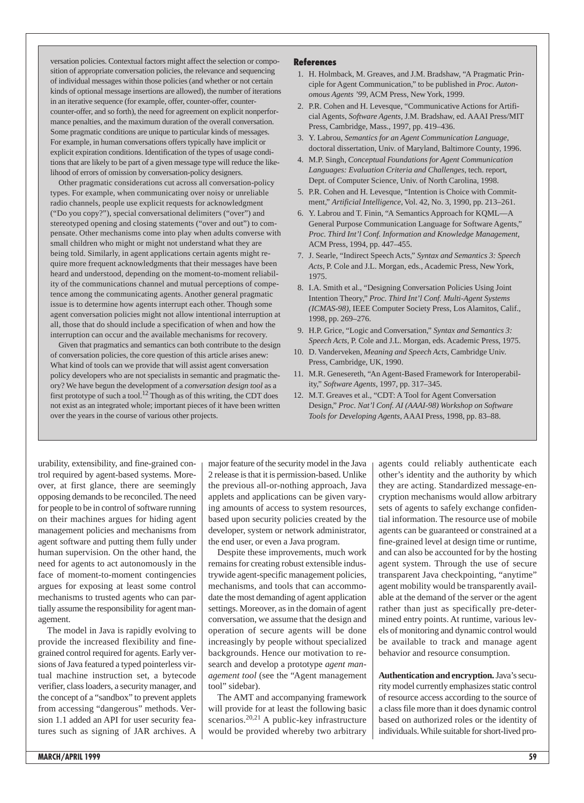versation policies. Contextual factors might affect the selection or composition of appropriate conversation policies, the relevance and sequencing of individual messages within those policies (and whether or not certain kinds of optional message insertions are allowed), the number of iterations in an iterative sequence (for example, offer, counter-offer, countercounter-offer, and so forth), the need for agreement on explicit nonperformance penalties, and the maximum duration of the overall conversation. Some pragmatic conditions are unique to particular kinds of messages. For example, in human conversations offers typically have implicit or explicit expiration conditions. Identification of the types of usage conditions that are likely to be part of a given message type will reduce the likelihood of errors of omission by conversation-policy designers.

Other pragmatic considerations cut across all conversation-policy types. For example, when communicating over noisy or unreliable radio channels, people use explicit requests for acknowledgment ("Do you copy?"), special conversational delimiters ("over") and stereotyped opening and closing statements ("over and out") to compensate. Other mechanisms come into play when adults converse with small children who might or might not understand what they are being told. Similarly, in agent applications certain agents might require more frequent acknowledgments that their messages have been heard and understood, depending on the moment-to-moment reliability of the communications channel and mutual perceptions of competence among the communicating agents. Another general pragmatic issue is to determine how agents interrupt each other. Though some agent conversation policies might not allow intentional interruption at all, those that do should include a specification of when and how the interruption can occur and the available mechanisms for recovery.

Given that pragmatics and semantics can both contribute to the design of conversation policies, the core question of this article arises anew: What kind of tools can we provide that will assist agent conversation policy developers who are not specialists in semantic and pragmatic theory? We have begun the development of a *conversation design tool* as a first prototype of such a tool.<sup>12</sup> Though as of this writing, the CDT does not exist as an integrated whole; important pieces of it have been written over the years in the course of various other projects.

#### **References**

- 1. H. Holmback, M. Greaves, and J.M. Bradshaw, "A Pragmatic Principle for Agent Communication," to be published in *Proc. Autonomous Agents '99*, ACM Press, New York, 1999.
- 2. P.R. Cohen and H. Levesque, "Communicative Actions for Artificial Agents, *Software Agents,* J.M. Bradshaw, ed. AAAI Press/MIT Press, Cambridge, Mass., 1997, pp. 419–436.
- 3. Y. Labrou, *Semantics for an Agent Communication Language*, doctoral dissertation, Univ. of Maryland, Baltimore County, 1996.
- 4. M.P. Singh, *Conceptual Foundations for Agent Communication Languages: Evaluation Criteria and Challenges*, tech. report, Dept. of Computer Science, Univ. of North Carolina, 1998.
- 5. P.R. Cohen and H. Levesque, "Intention is Choice with Commitment," *Artificial Intelligence*, Vol. 42, No. 3, 1990, pp. 213–261.
- 6. Y. Labrou and T. Finin, "A Semantics Approach for KQML—A General Purpose Communication Language for Software Agents," *Proc. Third Int'l Conf. Information and Knowledge Management*, ACM Press, 1994, pp. 447–455.
- 7. J. Searle, "Indirect Speech Acts," *Syntax and Semantics 3: Speech Acts*, P. Cole and J.L. Morgan, eds., Academic Press, New York, 1975.
- 8. I.A. Smith et al., "Designing Conversation Policies Using Joint Intention Theory," *Proc. Third Int'l Conf. Multi-Agent Systems (ICMAS-98)*, IEEE Computer Society Press, Los Alamitos, Calif., 1998, pp. 269–276.
- 9. H.P. Grice, "Logic and Conversation," *Syntax and Semantics 3: Speech Acts*, P. Cole and J.L. Morgan, eds. Academic Press, 1975.
- 10. D. Vanderveken, *Meaning and Speech Acts*, Cambridge Univ. Press, Cambridge, UK, 1990.
- 11. M.R. Genesereth, "An Agent-Based Framework for Interoperability," *Software Agents*, 1997, pp. 317–345.
- 12. M.T. Greaves et al., "CDT: A Tool for Agent Conversation Design," *Proc. Nat'l Conf. AI (AAAI-98) Workshop on Software Tools for Developing Agents*, AAAI Press, 1998, pp. 83–88.

urability, extensibility, and fine-grained control required by agent-based systems. Moreover, at first glance, there are seemingly opposing demands to be reconciled. The need for people to be in control of software running on their machines argues for hiding agent management policies and mechanisms from agent software and putting them fully under human supervision. On the other hand, the need for agents to act autonomously in the face of moment-to-moment contingencies argues for exposing at least some control mechanisms to trusted agents who can partially assume the responsibility for agent management.

The model in Java is rapidly evolving to provide the increased flexibility and finegrained control required for agents. Early versions of Java featured a typed pointerless virtual machine instruction set, a bytecode verifier, class loaders, a security manager, and the concept of a "sandbox" to prevent applets from accessing "dangerous" methods. Version 1.1 added an API for user security features such as signing of JAR archives. A major feature of the security model in the Java 2 release is that it is permission-based. Unlike the previous all-or-nothing approach, Java applets and applications can be given varying amounts of access to system resources, based upon security policies created by the developer, system or network administrator, the end user, or even a Java program.

Despite these improvements, much work remains for creating robust extensible industrywide agent-specific management policies, mechanisms, and tools that can accommodate the most demanding of agent application settings. Moreover, as in the domain of agent conversation, we assume that the design and operation of secure agents will be done increasingly by people without specialized backgrounds. Hence our motivation to research and develop a prototype *agent management tool* (see the "Agent management tool" sidebar).

The AMT and accompanying framework will provide for at least the following basic scenarios. $20,21$  A public-key infrastructure would be provided whereby two arbitrary agents could reliably authenticate each other's identity and the authority by which they are acting. Standardized message-encryption mechanisms would allow arbitrary sets of agents to safely exchange confidential information. The resource use of mobile agents can be guaranteed or constrained at a fine-grained level at design time or runtime, and can also be accounted for by the hosting agent system. Through the use of secure transparent Java checkpointing, "anytime" agent mobility would be transparently available at the demand of the server or the agent rather than just as specifically pre-determined entry points. At runtime, various levels of monitoring and dynamic control would be available to track and manage agent behavior and resource consumption.

**Authentication and encryption.** Java's security model currently emphasizes static control of resource access according to the source of a class file more than it does dynamic control based on authorized roles or the identity of individuals. While suitable for short-lived pro-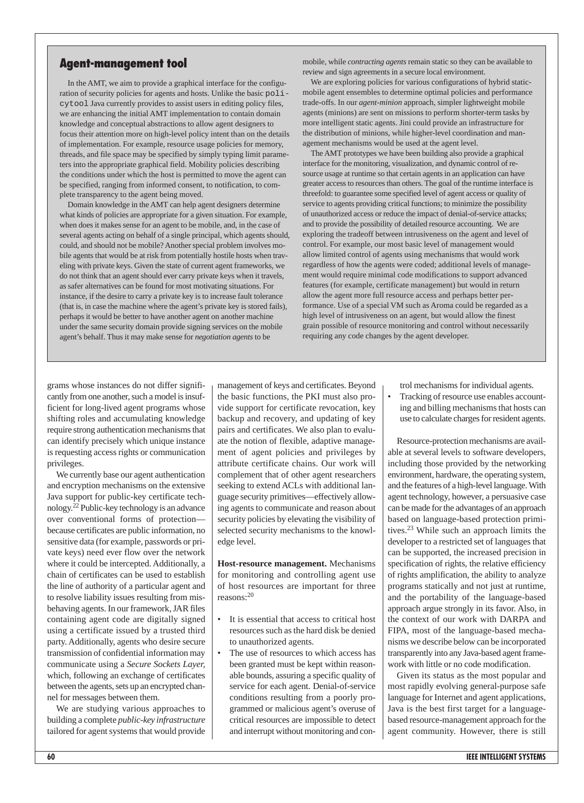#### **Agent-management tool**

In the AMT, we aim to provide a graphical interface for the configuration of security policies for agents and hosts. Unlike the basic policytool Java currently provides to assist users in editing policy files, we are enhancing the initial AMT implementation to contain domain knowledge and conceptual abstractions to allow agent designers to focus their attention more on high-level policy intent than on the details of implementation. For example, resource usage policies for memory, threads, and file space may be specified by simply typing limit parameters into the appropriate graphical field. Mobility policies describing the conditions under which the host is permitted to move the agent can be specified, ranging from informed consent, to notification, to complete transparency to the agent being moved.

Domain knowledge in the AMT can help agent designers determine what kinds of policies are appropriate for a given situation. For example, when does it makes sense for an agent to be mobile, and, in the case of several agents acting on behalf of a single principal, which agents should, could, and should not be mobile? Another special problem involves mobile agents that would be at risk from potentially hostile hosts when traveling with private keys. Given the state of current agent frameworks, we do not think that an agent should ever carry private keys when it travels, as safer alternatives can be found for most motivating situations. For instance, if the desire to carry a private key is to increase fault tolerance (that is, in case the machine where the agent's private key is stored fails), perhaps it would be better to have another agent on another machine under the same security domain provide signing services on the mobile agent's behalf. Thus it may make sense for *negotiation agents* to be

mobile, while *contracting agents* remain static so they can be available to review and sign agreements in a secure local environment.

We are exploring policies for various configurations of hybrid staticmobile agent ensembles to determine optimal policies and performance trade-offs. In our *agent-minion* approach, simpler lightweight mobile agents (minions) are sent on missions to perform shorter-term tasks by more intelligent static agents. Jini could provide an infrastructure for the distribution of minions, while higher-level coordination and management mechanisms would be used at the agent level.

The AMT prototypes we have been building also provide a graphical interface for the monitoring, visualization, and dynamic control of resource usage at runtime so that certain agents in an application can have greater access to resources than others. The goal of the runtime interface is threefold: to guarantee some specified level of agent access or quality of service to agents providing critical functions; to minimize the possibility of unauthorized access or reduce the impact of denial-of-service attacks; and to provide the possibility of detailed resource accounting. We are exploring the tradeoff between intrusiveness on the agent and level of control. For example, our most basic level of management would allow limited control of agents using mechanisms that would work regardless of how the agents were coded; additional levels of management would require minimal code modifications to support advanced features (for example, certificate management) but would in return allow the agent more full resource access and perhaps better performance. Use of a special VM such as Aroma could be regarded as a high level of intrusiveness on an agent, but would allow the finest grain possible of resource monitoring and control without necessarily requiring any code changes by the agent developer.

grams whose instances do not differ significantly from one another, such a model is insufficient for long-lived agent programs whose shifting roles and accumulating knowledge require strong authentication mechanisms that can identify precisely which unique instance is requesting access rights or communication privileges.

We currently base our agent authentication and encryption mechanisms on the extensive Java support for public-key certificate technology.22 Public-key technology is an advance over conventional forms of protection because certificates are public information, no sensitive data (for example, passwords or private keys) need ever flow over the network where it could be intercepted. Additionally, a chain of certificates can be used to establish the line of authority of a particular agent and to resolve liability issues resulting from misbehaving agents. In our framework, JAR files containing agent code are digitally signed using a certificate issued by a trusted third party. Additionally, agents who desire secure transmission of confidential information may communicate using a *Secure Sockets Layer,* which, following an exchange of certificates between the agents, sets up an encrypted channel for messages between them.

We are studying various approaches to building a complete *public-key infrastructure* tailored for agent systems that would provide

management of keys and certificates. Beyond the basic functions, the PKI must also provide support for certificate revocation, key backup and recovery, and updating of key pairs and certificates. We also plan to evaluate the notion of flexible, adaptive management of agent policies and privileges by attribute certificate chains. Our work will complement that of other agent researchers seeking to extend ACLs with additional language security primitives—effectively allowing agents to communicate and reason about security policies by elevating the visibility of selected security mechanisms to the knowledge level.

**Host-resource management.** Mechanisms for monitoring and controlling agent use of host resources are important for three reasons:20

- It is essential that access to critical host resources such as the hard disk be denied to unauthorized agents.
- The use of resources to which access has been granted must be kept within reasonable bounds, assuring a specific quality of service for each agent. Denial-of-service conditions resulting from a poorly programmed or malicious agent's overuse of critical resources are impossible to detect and interrupt without monitoring and con-
- trol mechanisms for individual agents.
- Tracking of resource use enables accounting and billing mechanisms that hosts can use to calculate charges for resident agents.

Resource-protection mechanisms are available at several levels to software developers, including those provided by the networking environment, hardware, the operating system, and the features of a high-level language. With agent technology, however, a persuasive case can be made for the advantages of an approach based on language-based protection primitives.23 While such an approach limits the developer to a restricted set of languages that can be supported, the increased precision in specification of rights, the relative efficiency of rights amplification, the ability to analyze programs statically and not just at runtime, and the portability of the language-based approach argue strongly in its favor. Also, in the context of our work with DARPA and FIPA, most of the language-based mechanisms we describe below can be incorporated transparently into any Java-based agent framework with little or no code modification.

Given its status as the most popular and most rapidly evolving general-purpose safe language for Internet and agent applications, Java is the best first target for a languagebased resource-management approach for the agent community. However, there is still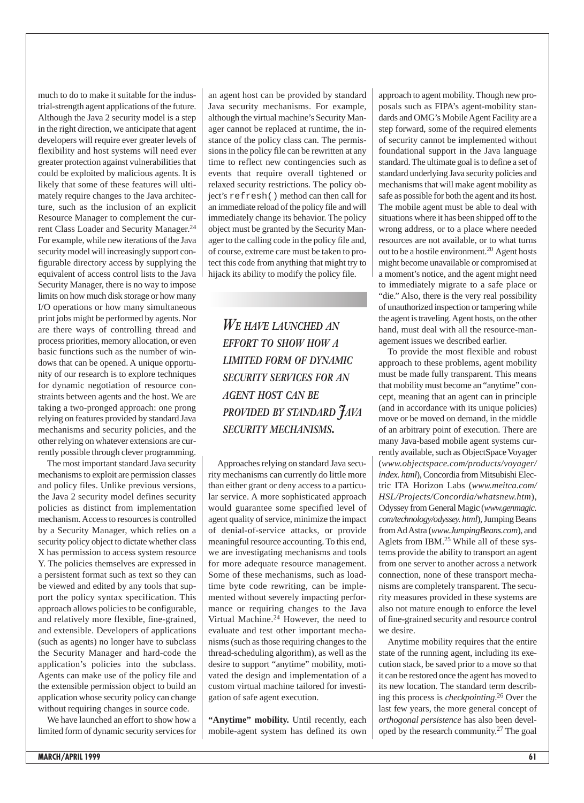much to do to make it suitable for the industrial-strength agent applications of the future. Although the Java 2 security model is a step in the right direction, we anticipate that agent developers will require ever greater levels of flexibility and host systems will need ever greater protection against vulnerabilities that could be exploited by malicious agents. It is likely that some of these features will ultimately require changes to the Java architecture, such as the inclusion of an explicit Resource Manager to complement the current Class Loader and Security Manager.24 For example, while new iterations of the Java security model will increasingly support configurable directory access by supplying the equivalent of access control lists to the Java Security Manager, there is no way to impose limits on how much disk storage or how many I/O operations or how many simultaneous print jobs might be performed by agents. Nor are there ways of controlling thread and process priorities, memory allocation, or even basic functions such as the number of windows that can be opened. A unique opportunity of our research is to explore techniques for dynamic negotiation of resource constraints between agents and the host. We are taking a two-pronged approach: one prong relying on features provided by standard Java mechanisms and security policies, and the other relying on whatever extensions are currently possible through clever programming.

The most important standard Java security mechanisms to exploit are permission classes and policy files. Unlike previous versions, the Java 2 security model defines security policies as distinct from implementation mechanism. Access to resources is controlled by a Security Manager, which relies on a security policy object to dictate whether class X has permission to access system resource Y. The policies themselves are expressed in a persistent format such as text so they can be viewed and edited by any tools that support the policy syntax specification. This approach allows policies to be configurable, and relatively more flexible, fine-grained, and extensible. Developers of applications (such as agents) no longer have to subclass the Security Manager and hard-code the application's policies into the subclass. Agents can make use of the policy file and the extensible permission object to build an application whose security policy can change without requiring changes in source code.

We have launched an effort to show how a limited form of dynamic security services for

an agent host can be provided by standard Java security mechanisms. For example, although the virtual machine's Security Manager cannot be replaced at runtime, the instance of the policy class can. The permissions in the policy file can be rewritten at any time to reflect new contingencies such as events that require overall tightened or relaxed security restrictions. The policy object's refresh() method can then call for an immediate reload of the policy file and will immediately change its behavior. The policy object must be granted by the Security Manager to the calling code in the policy file and, of course, extreme care must be taken to protect this code from anything that might try to hijack its ability to modify the policy file.

*WE HAVE LAUNCHED AN EFFORT TO SHOW HOW A LIMITED FORM OF DYNAMIC SECURITY SERVICES FOR AN AGENT HOST CAN BE PROVIDED BY STANDARD JAVA SECURITY MECHANISMS.*

Approaches relying on standard Java security mechanisms can currently do little more than either grant or deny access to a particular service. A more sophisticated approach would guarantee some specified level of agent quality of service, minimize the impact of denial-of-service attacks, or provide meaningful resource accounting. To this end, we are investigating mechanisms and tools for more adequate resource management. Some of these mechanisms, such as loadtime byte code rewriting, can be implemented without severely impacting performance or requiring changes to the Java Virtual Machine.24 However, the need to evaluate and test other important mechanisms (such as those requiring changes to the thread-scheduling algorithm), as well as the desire to support "anytime" mobility, motivated the design and implementation of a custom virtual machine tailored for investigation of safe agent execution.

"Anytime" mobility. Until recently, each mobile-agent system has defined its own

approach to agent mobility. Though new proposals such as FIPA's agent-mobility standards and OMG's Mobile Agent Facility are a step forward, some of the required elements of security cannot be implemented without foundational support in the Java language standard. The ultimate goal is to define a set of standard underlying Java security policies and mechanisms that will make agent mobility as safe as possible for both the agent and its host. The mobile agent must be able to deal with situations where it has been shipped off to the wrong address, or to a place where needed resources are not available, or to what turns out to be a hostile environment.20 Agent hosts might become unavailable or compromised at a moment's notice, and the agent might need to immediately migrate to a safe place or "die." Also, there is the very real possibility of unauthorized inspection or tampering while the agent is traveling. Agent hosts, on the other hand, must deal with all the resource-management issues we described earlier.

To provide the most flexible and robust approach to these problems, agent mobility must be made fully transparent. This means that mobility must become an "anytime" concept, meaning that an agent can in principle (and in accordance with its unique policies) move or be moved on demand, in the middle of an arbitrary point of execution. There are many Java-based mobile agent systems currently available, such as ObjectSpace Voyager (*www.objectspace.com/products/voyager/ index. html*), Concordia from Mitsubishi Electric ITA Horizon Labs (*www.meitca.com/ HSL/Projects/Concordia/whatsnew.htm*), Odyssey from General Magic (*www.genmagic. com/technology/odyssey. html*), Jumping Beans from Ad Astra (*www.JumpingBeans.com*), and Aglets from IBM.25 While all of these systems provide the ability to transport an agent from one server to another across a network connection, none of these transport mechanisms are completely transparent. The security measures provided in these systems are also not mature enough to enforce the level of fine-grained security and resource control we desire.

Anytime mobility requires that the entire state of the running agent, including its execution stack, be saved prior to a move so that it can be restored once the agent has moved to its new location. The standard term describing this process is *checkpointing*. <sup>26</sup> Over the last few years, the more general concept of *orthogonal persistence* has also been developed by the research community.27 The goal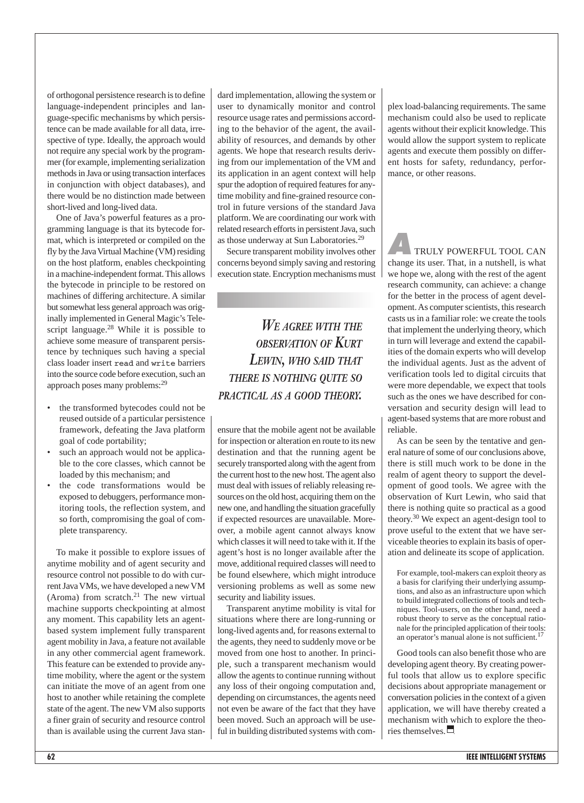of orthogonal persistence research is to define language-independent principles and language-specific mechanisms by which persistence can be made available for all data, irrespective of type. Ideally, the approach would not require any special work by the programmer (for example, implementing serialization methods in Java or using transaction interfaces in conjunction with object databases), and there would be no distinction made between short-lived and long-lived data.

One of Java's powerful features as a programming language is that its bytecode format, which is interpreted or compiled on the fly by the Java Virtual Machine (VM) residing on the host platform, enables checkpointing in a machine-independent format. This allows the bytecode in principle to be restored on machines of differing architecture. A similar but somewhat less general approach was originally implemented in General Magic's Telescript language.<sup>28</sup> While it is possible to achieve some measure of transparent persistence by techniques such having a special class loader insert read and write barriers into the source code before execution, such an approach poses many problems:29

- the transformed bytecodes could not be reused outside of a particular persistence framework, defeating the Java platform goal of code portability;
- such an approach would not be applicable to the core classes, which cannot be loaded by this mechanism; and
- the code transformations would be exposed to debuggers, performance monitoring tools, the reflection system, and so forth, compromising the goal of complete transparency.

To make it possible to explore issues of anytime mobility and of agent security and resource control not possible to do with current Java VMs, we have developed a new VM (Aroma) from scratch. $21$  The new virtual machine supports checkpointing at almost any moment. This capability lets an agentbased system implement fully transparent agent mobility in Java, a feature not available in any other commercial agent framework. This feature can be extended to provide anytime mobility, where the agent or the system can initiate the move of an agent from one host to another while retaining the complete state of the agent. The new VM also supports a finer grain of security and resource control than is available using the current Java stan-

dard implementation, allowing the system or user to dynamically monitor and control resource usage rates and permissions according to the behavior of the agent, the availability of resources, and demands by other agents. We hope that research results deriving from our implementation of the VM and its application in an agent context will help spur the adoption of required features for anytime mobility and fine-grained resource control in future versions of the standard Java platform. We are coordinating our work with related research efforts in persistent Java, such as those underway at Sun Laboratories.29

Secure transparent mobility involves other concerns beyond simply saving and restoring execution state. Encryption mechanisms must

*WE AGREE WITH THE OBSERVATION OF KURT LEWIN, WHO SAID THAT THERE IS NOTHING QUITE SO PRACTICAL AS A GOOD THEORY.*

ensure that the mobile agent not be available for inspection or alteration en route to its new destination and that the running agent be securely transported along with the agent from the current host to the new host. The agent also must deal with issues of reliably releasing resources on the old host, acquiring them on the new one, and handling the situation gracefully if expected resources are unavailable. Moreover, a mobile agent cannot always know which classes it will need to take with it. If the agent's host is no longer available after the move, additional required classes will need to be found elsewhere, which might introduce versioning problems as well as some new security and liability issues.

Transparent anytime mobility is vital for situations where there are long-running or long-lived agents and, for reasons external to the agents, they need to suddenly move or be moved from one host to another. In principle, such a transparent mechanism would allow the agents to continue running without any loss of their ongoing computation and, depending on circumstances, the agents need not even be aware of the fact that they have been moved. Such an approach will be useful in building distributed systems with com-

plex load-balancing requirements. The same mechanism could also be used to replicate agents without their explicit knowledge. This would allow the support system to replicate agents and execute them possibly on different hosts for safety, redundancy, performance, or other reasons.

**A**TRULY POWERFUL TOOL CAN change its user. That, in a nutshell, is what we hope we, along with the rest of the agent research community, can achieve: a change for the better in the process of agent development. As computer scientists, this research casts us in a familiar role: we create the tools that implement the underlying theory, which in turn will leverage and extend the capabilities of the domain experts who will develop the individual agents. Just as the advent of verification tools led to digital circuits that were more dependable, we expect that tools such as the ones we have described for conversation and security design will lead to agent-based systems that are more robust and reliable.

As can be seen by the tentative and general nature of some of our conclusions above, there is still much work to be done in the realm of agent theory to support the development of good tools. We agree with the observation of Kurt Lewin, who said that there is nothing quite so practical as a good theory.30 We expect an agent-design tool to prove useful to the extent that we have serviceable theories to explain its basis of operation and delineate its scope of application.

For example, tool-makers can exploit theory as a basis for clarifying their underlying assumptions, and also as an infrastructure upon which to build integrated collections of tools and techniques. Tool-users, on the other hand, need a robust theory to serve as the conceptual rationale for the principled application of their tools: an operator's manual alone is not sufficient.<sup>1</sup>

Good tools can also benefit those who are developing agent theory. By creating powerful tools that allow us to explore specific decisions about appropriate management or conversation policies in the context of a given application, we will have thereby created a mechanism with which to explore the theories themselves. $\Box$